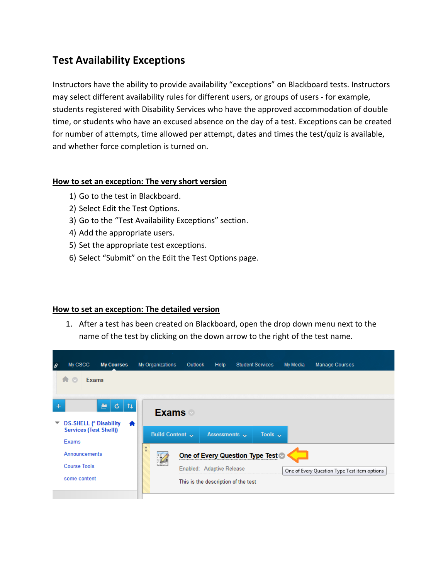# **Test Availability Exceptions**

Instructors have the ability to provide availability "exceptions" on Blackboard tests. Instructors may select different availability rules for different users, or groups of users - for example, students registered with Disability Services who have the approved accommodation of double time, or students who have an excused absence on the day of a test. Exceptions can be created for number of attempts, time allowed per attempt, dates and times the test/quiz is available, and whether force completion is turned on.

## **How to set an exception: The very short version**

- 1) Go to the test in Blackboard.
- 2) Select Edit the Test Options.
- 3) Go to the "Test Availability Exceptions" section.
- 4) Add the appropriate users.
- 5) Set the appropriate test exceptions.
- 6) Select "Submit" on the Edit the Test Options page.

## **How to set an exception: The detailed version**

1. After a test has been created on Blackboard, open the drop down menu next to the name of the test by clicking on the down arrow to the right of the test name.

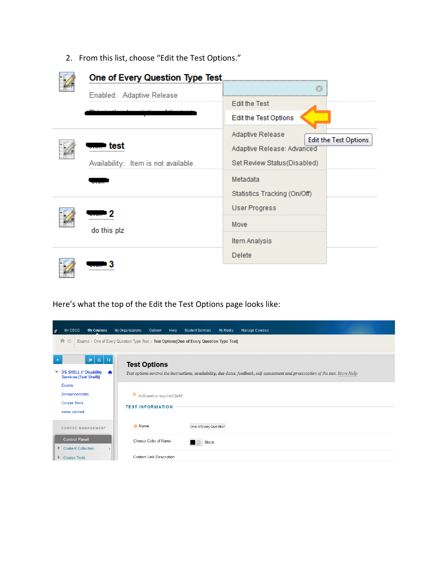2. From this list, choose "Edit the Test Options."

| Enabled: Adaptive Release            |                                           |
|--------------------------------------|-------------------------------------------|
|                                      | <b>Edit the Test</b>                      |
|                                      | Edit the Test Options                     |
|                                      | Adaptive Release<br>Edit the Test Options |
| test<br>                             | Adaptive Release: Advanced                |
| Availability: Item is not available. | Set Review Status (Disabled)              |
|                                      | Metadata                                  |
|                                      | Statistics Tracking (On/Off)              |
|                                      | <b>User Progress</b>                      |
| <br>do this plz                      | Move                                      |
|                                      | Item Analysis                             |
|                                      | Delete                                    |
|                                      |                                           |

Here's what the top of the Edit the Test Options page looks like:

| $\theta$  | My CSCC<br><b>My Courses</b>                              | My Organizations | Outlook<br>Help                 | <b>Student Services</b>                                                                 | My Media | <b>Manage Courses</b>                                                                                                             |
|-----------|-----------------------------------------------------------|------------------|---------------------------------|-----------------------------------------------------------------------------------------|----------|-----------------------------------------------------------------------------------------------------------------------------------|
|           | 合<br>$\circ$                                              |                  |                                 | Exams > One of Every Question Type Test > Test Options One of Every Question Type Test] |          |                                                                                                                                   |
| $\ddot{}$ | $\mathbf{E}$ $\mathbf{C}$ $\mathbf{H}$                    |                  | <b>Test Options</b>             |                                                                                         |          |                                                                                                                                   |
|           | ▼ DS-SHELL (* Disability<br><b>Services (Test Shell))</b> | 合                |                                 |                                                                                         |          | Test options control the instructions, availability, due dates, feedback, self-assessment and presentation of the test. More Help |
|           | Exams                                                     |                  |                                 |                                                                                         |          |                                                                                                                                   |
|           | Announcements                                             |                  | $*$ Indicates a required field. |                                                                                         |          |                                                                                                                                   |
|           | <b>Course Tools</b><br>some content                       |                  | <b>TEST INFORMATION</b>         |                                                                                         |          |                                                                                                                                   |
|           | <b>COURSE MANAGEMENT</b>                                  | -X- Name         |                                 | One of Every Question                                                                   |          |                                                                                                                                   |
|           | <b>Control Panel</b><br>Content Collection                |                  | Choose Color of Name            | <b>Black</b>                                                                            |          |                                                                                                                                   |
|           | Course Tools                                              |                  | <b>Content Link Description</b> |                                                                                         |          |                                                                                                                                   |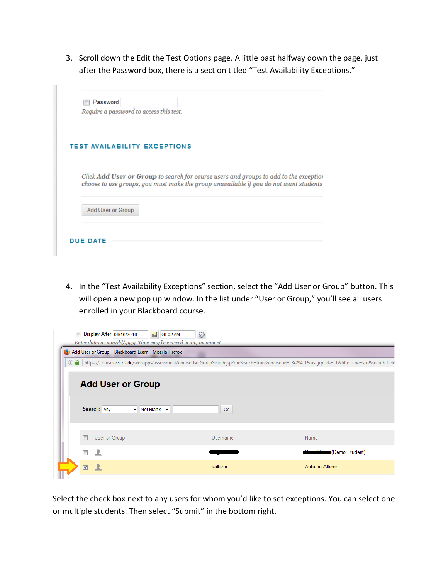3. Scroll down the Edit the Test Options page. A little past halfway down the page, just after the Password box, there is a section titled "Test Availability Exceptions."

| Password<br>Require a password to access this test.                                                                                                                                   |
|---------------------------------------------------------------------------------------------------------------------------------------------------------------------------------------|
| <b>TEST AVAILABILITY EXCEPTIONS</b>                                                                                                                                                   |
| Click <b>Add User or Group</b> to search for course users and groups to add to the exception<br>choose to use groups, you must make the group unavailable if you do not want students |
|                                                                                                                                                                                       |

4. In the "Test Availability Exceptions" section, select the "Add User or Group" button. This will open a new pop up window. In the list under "User or Group," you'll see all users enrolled in your Blackboard course.

| $\blacksquare$ |          | Display After 09/16/2016<br>圖<br>Enter dates as mm/dd/yyyy. Time may be entered in any increment. | 09:02 AM |                                                                                                                                                         |
|----------------|----------|---------------------------------------------------------------------------------------------------|----------|---------------------------------------------------------------------------------------------------------------------------------------------------------|
|                |          | Add User or Group - Blackboard Learn - Mozilla Firefox                                            |          |                                                                                                                                                         |
|                |          |                                                                                                   |          | (i) △ https://courses.cscc.edu/webapps/assessment/courseUserGroupSearch.jsp?runSearch=true&course_id=_34294_1&usrqrp_ids=-1&filter_crw=stu&search_field |
|                |          | <b>Add User or Group</b><br>Search: Any<br>$\blacktriangleright$ Not Blank $\blacktriangleright$  | Go       |                                                                                                                                                         |
|                |          | User or Group                                                                                     | Username | Name                                                                                                                                                    |
|                |          | ⊻                                                                                                 |          | (Demo Student)                                                                                                                                          |
|                | $\nabla$ |                                                                                                   | aaltizer | Autumn Altizer                                                                                                                                          |
|                |          |                                                                                                   |          |                                                                                                                                                         |

Select the check box next to any users for whom you'd like to set exceptions. You can select one or multiple students. Then select "Submit" in the bottom right.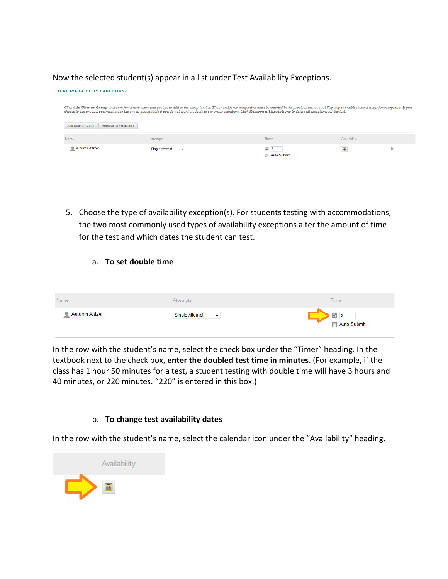Now the selected student(s) appear in a list under Test Availability Exceptions.

| <b>TEST AVAILABILITY EXCEPTIONS</b>        |                                                                                                                                                                                                                                                                                                                                                                                                                 |                           |              |                       |
|--------------------------------------------|-----------------------------------------------------------------------------------------------------------------------------------------------------------------------------------------------------------------------------------------------------------------------------------------------------------------------------------------------------------------------------------------------------------------|---------------------------|--------------|-----------------------|
|                                            |                                                                                                                                                                                                                                                                                                                                                                                                                 |                           |              |                       |
|                                            | Click Add User or Group to search for course users and groups to add to the exception list. Timer and force completion must be enabled in the previous test availability step to enable those settings for exceptions. If you<br>choose to use groups, you must make the group unavailable if you do not want students to see group members. Click Remove all Exceptions to delete all exceptions for the test. |                           |              |                       |
| Add User or Group<br>Remove All Exceptions |                                                                                                                                                                                                                                                                                                                                                                                                                 |                           |              |                       |
| Name                                       | Attempts                                                                                                                                                                                                                                                                                                                                                                                                        | Timer                     | Availability |                       |
| Autumn Altizer                             | <b>Single Attempt</b>                                                                                                                                                                                                                                                                                                                                                                                           | $\nabla$ 5<br>Auto Submit | 画            | $\boldsymbol{\times}$ |

5. Choose the type of availability exception(s). For students testing with accommodations, the two most commonly used types of availability exceptions alter the amount of time for the test and which dates the student can test.

### a. **To set double time**

| Name                | Attempts                                   | Timer              |
|---------------------|--------------------------------------------|--------------------|
| Autumn Altizer<br>٠ | Single Attempt<br>$\overline{\phantom{a}}$ | ⊽ 5<br>Auto Submit |

In the row with the student's name, select the check box under the "Timer" heading. In the textbook next to the check box, **enter the doubled test time in minutes**. (For example, if the class has 1 hour 50 minutes for a test, a student testing with double time will have 3 hours and 40 minutes, or 220 minutes. "220" is entered in this box.)

#### b. **To change test availability dates**

In the row with the student's name, select the calendar icon under the "Availability" heading.